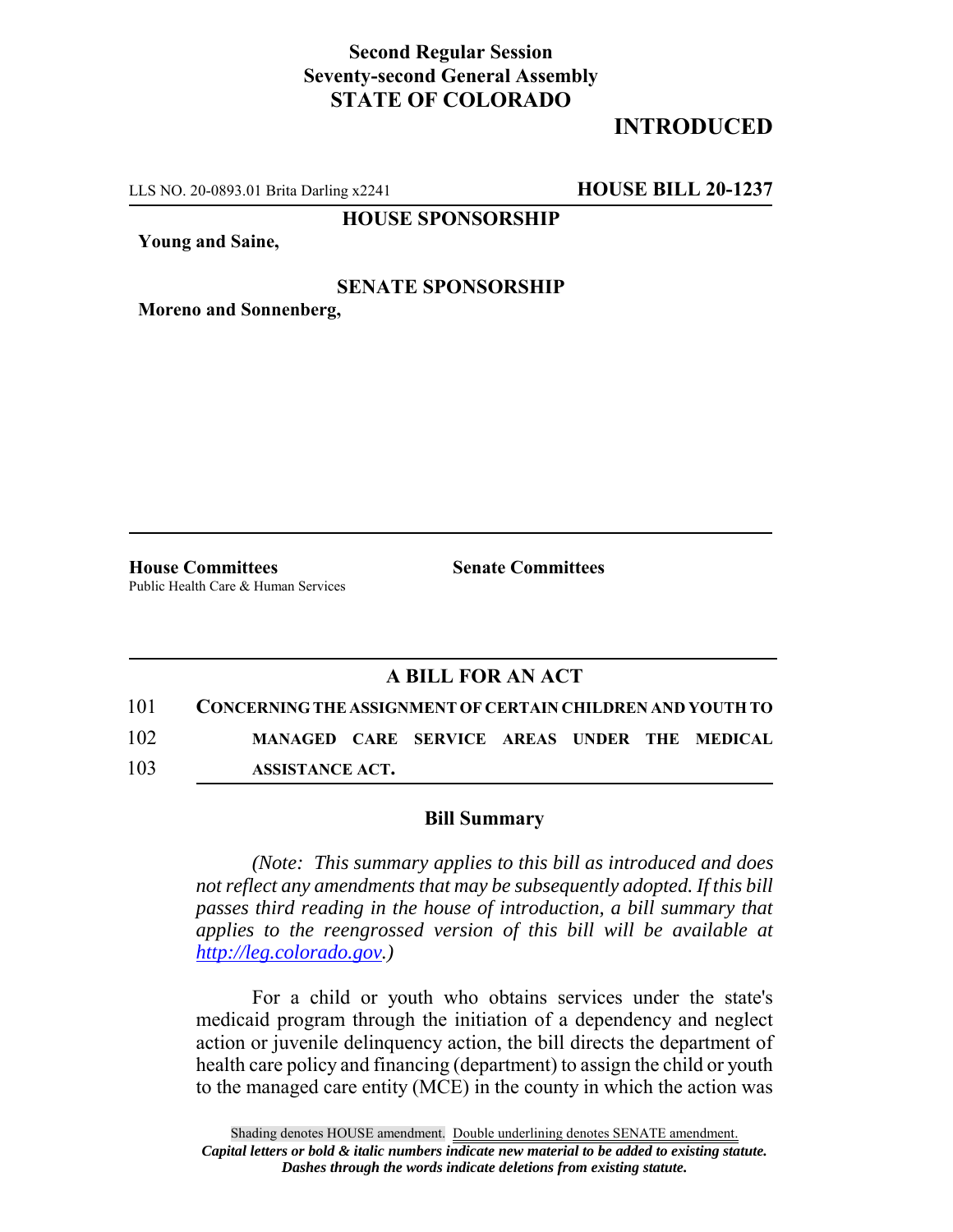## **Second Regular Session Seventy-second General Assembly STATE OF COLORADO**

## **INTRODUCED**

LLS NO. 20-0893.01 Brita Darling x2241 **HOUSE BILL 20-1237**

**HOUSE SPONSORSHIP**

**Young and Saine,**

## **SENATE SPONSORSHIP**

**Moreno and Sonnenberg,**

**House Committees Senate Committees** Public Health Care & Human Services

## **A BILL FOR AN ACT**

101 **CONCERNING THE ASSIGNMENT OF CERTAIN CHILDREN AND YOUTH TO** 102 **MANAGED CARE SERVICE AREAS UNDER THE MEDICAL** 103 **ASSISTANCE ACT.**

**Bill Summary**

*(Note: This summary applies to this bill as introduced and does not reflect any amendments that may be subsequently adopted. If this bill passes third reading in the house of introduction, a bill summary that applies to the reengrossed version of this bill will be available at http://leg.colorado.gov.)*

For a child or youth who obtains services under the state's medicaid program through the initiation of a dependency and neglect action or juvenile delinquency action, the bill directs the department of health care policy and financing (department) to assign the child or youth to the managed care entity (MCE) in the county in which the action was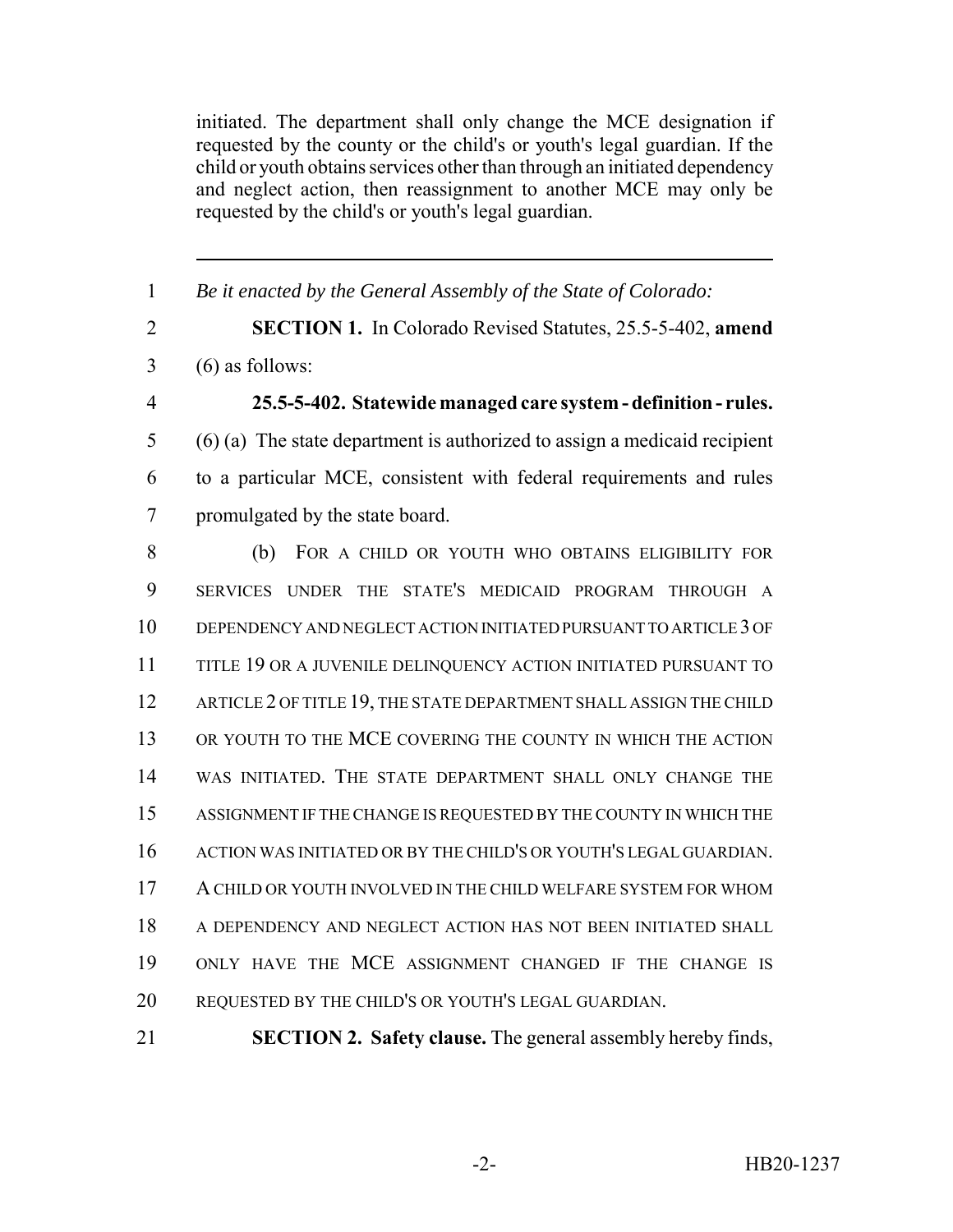initiated. The department shall only change the MCE designation if requested by the county or the child's or youth's legal guardian. If the child or youth obtains services other than through an initiated dependency and neglect action, then reassignment to another MCE may only be requested by the child's or youth's legal guardian.

 *Be it enacted by the General Assembly of the State of Colorado:* **SECTION 1.** In Colorado Revised Statutes, 25.5-5-402, **amend**  $3 \quad (6)$  as follows: **25.5-5-402. Statewide managed care system - definition - rules.** (6) (a) The state department is authorized to assign a medicaid recipient to a particular MCE, consistent with federal requirements and rules promulgated by the state board. (b) FOR A CHILD OR YOUTH WHO OBTAINS ELIGIBILITY FOR SERVICES UNDER THE STATE'S MEDICAID PROGRAM THROUGH A DEPENDENCY AND NEGLECT ACTION INITIATED PURSUANT TO ARTICLE 3 OF TITLE 19 OR A JUVENILE DELINQUENCY ACTION INITIATED PURSUANT TO 12 ARTICLE 2 OF TITLE 19, THE STATE DEPARTMENT SHALL ASSIGN THE CHILD OR YOUTH TO THE MCE COVERING THE COUNTY IN WHICH THE ACTION WAS INITIATED. THE STATE DEPARTMENT SHALL ONLY CHANGE THE ASSIGNMENT IF THE CHANGE IS REQUESTED BY THE COUNTY IN WHICH THE ACTION WAS INITIATED OR BY THE CHILD'S OR YOUTH'S LEGAL GUARDIAN. A CHILD OR YOUTH INVOLVED IN THE CHILD WELFARE SYSTEM FOR WHOM A DEPENDENCY AND NEGLECT ACTION HAS NOT BEEN INITIATED SHALL ONLY HAVE THE MCE ASSIGNMENT CHANGED IF THE CHANGE IS REQUESTED BY THE CHILD'S OR YOUTH'S LEGAL GUARDIAN. **SECTION 2. Safety clause.** The general assembly hereby finds,